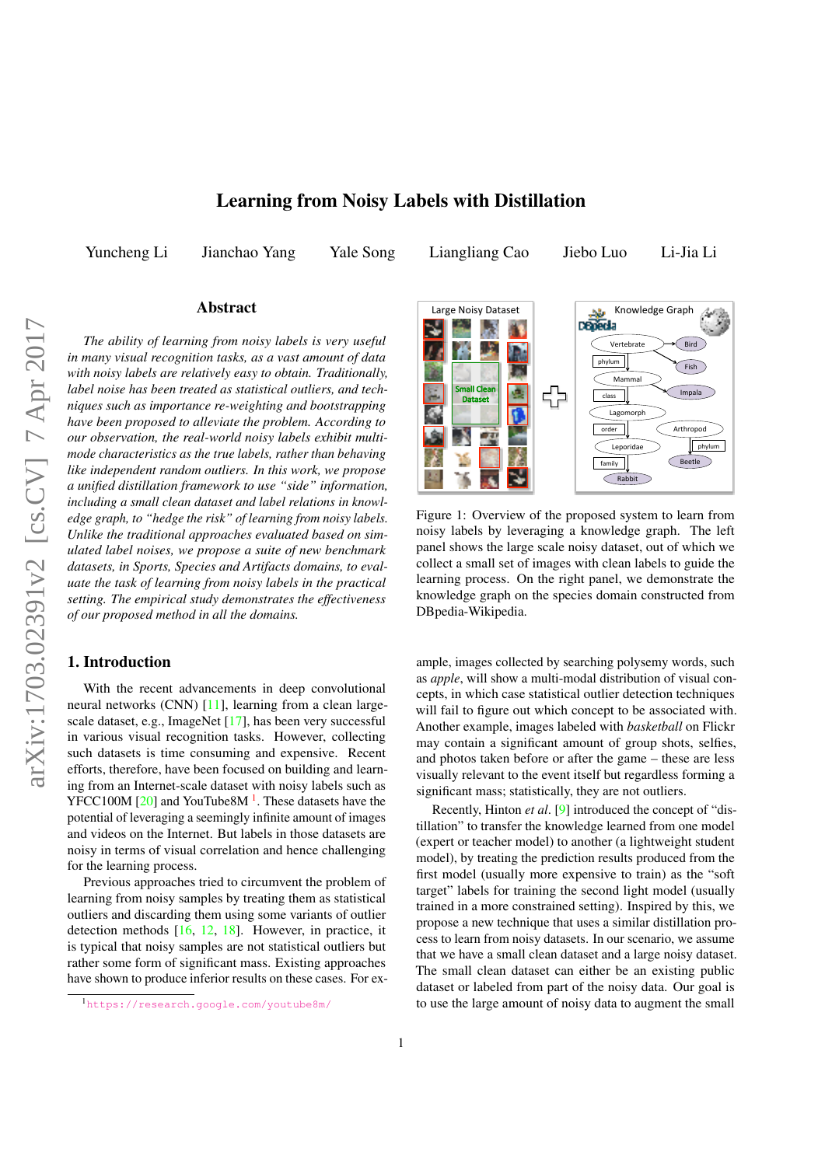# Learning from Noisy Labels with Distillation

Yuncheng Li Jianchao Yang Yale Song Liangliang Cao Jiebo Luo Li-Jia Li

### Abstract

*The ability of learning from noisy labels is very useful in many visual recognition tasks, as a vast amount of data with noisy labels are relatively easy to obtain. Traditionally, label noise has been treated as statistical outliers, and techniques such as importance re-weighting and bootstrapping have been proposed to alleviate the problem. According to our observation, the real-world noisy labels exhibit multimode characteristics as the true labels, rather than behaving like independent random outliers. In this work, we propose a unified distillation framework to use "side" information, including a small clean dataset and label relations in knowledge graph, to "hedge the risk" of learning from noisy labels. Unlike the traditional approaches evaluated based on simulated label noises, we propose a suite of new benchmark datasets, in Sports, Species and Artifacts domains, to evaluate the task of learning from noisy labels in the practical setting. The empirical study demonstrates the effectiveness of our proposed method in all the domains.*

# 1. Introduction

With the recent advancements in deep convolutional neural networks (CNN) [11], learning from a clean largescale dataset, e.g., ImageNet [17], has been very successful in various visual recognition tasks. However, collecting such datasets is time consuming and expensive. Recent efforts, therefore, have been focused on building and learning from an Internet-scale dataset with noisy labels such as  $YFCC100M$  [20] and YouTube8M<sup>1</sup>. These datasets have the potential of leveraging a seemingly infinite amount of images and videos on the Internet. But labels in those datasets are noisy in terms of visual correlation and hence challenging for the learning process.

Previous approaches tried to circumvent the problem of learning from noisy samples by treating them as statistical outliers and discarding them using some variants of outlier detection methods [16, 12, 18]. However, in practice, it is typical that noisy samples are not statistical outliers but rather some form of significant mass. Existing approaches have shown to produce inferior results on these cases. For ex-



Figure 1: Overview of the proposed system to learn from noisy labels by leveraging a knowledge graph. The left panel shows the large scale noisy dataset, out of which we collect a small set of images with clean labels to guide the learning process. On the right panel, we demonstrate the knowledge graph on the species domain constructed from DBpedia-Wikipedia.

ample, images collected by searching polysemy words, such as *apple*, will show a multi-modal distribution of visual concepts, in which case statistical outlier detection techniques will fail to figure out which concept to be associated with. Another example, images labeled with *basketball* on Flickr may contain a significant amount of group shots, selfies, and photos taken before or after the game – these are less visually relevant to the event itself but regardless forming a significant mass; statistically, they are not outliers.

Recently, Hinton *et al*. [9] introduced the concept of "distillation" to transfer the knowledge learned from one model (expert or teacher model) to another (a lightweight student model), by treating the prediction results produced from the first model (usually more expensive to train) as the "soft target" labels for training the second light model (usually trained in a more constrained setting). Inspired by this, we propose a new technique that uses a similar distillation process to learn from noisy datasets. In our scenario, we assume that we have a small clean dataset and a large noisy dataset. The small clean dataset can either be an existing public dataset or labeled from part of the noisy data. Our goal is to use the large amount of noisy data to augment the small

<sup>1</sup>https://research.google.com/youtube8m/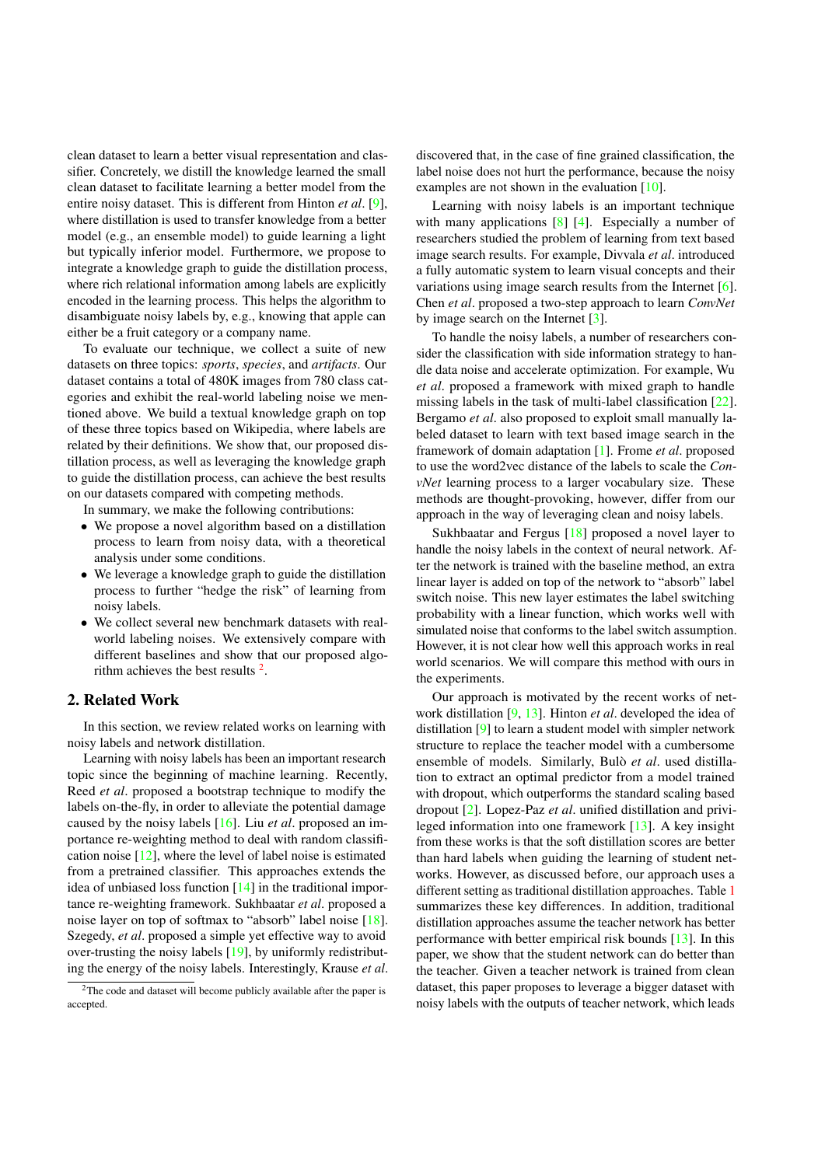clean dataset to learn a better visual representation and classifier. Concretely, we distill the knowledge learned the small clean dataset to facilitate learning a better model from the entire noisy dataset. This is different from Hinton *et al*. [9], where distillation is used to transfer knowledge from a better model (e.g., an ensemble model) to guide learning a light but typically inferior model. Furthermore, we propose to integrate a knowledge graph to guide the distillation process, where rich relational information among labels are explicitly encoded in the learning process. This helps the algorithm to disambiguate noisy labels by, e.g., knowing that apple can either be a fruit category or a company name.

To evaluate our technique, we collect a suite of new datasets on three topics: *sports*, *species*, and *artifacts*. Our dataset contains a total of 480K images from 780 class categories and exhibit the real-world labeling noise we mentioned above. We build a textual knowledge graph on top of these three topics based on Wikipedia, where labels are related by their definitions. We show that, our proposed distillation process, as well as leveraging the knowledge graph to guide the distillation process, can achieve the best results on our datasets compared with competing methods.

In summary, we make the following contributions:

- We propose a novel algorithm based on a distillation process to learn from noisy data, with a theoretical analysis under some conditions.
- We leverage a knowledge graph to guide the distillation process to further "hedge the risk" of learning from noisy labels.
- We collect several new benchmark datasets with realworld labeling noises. We extensively compare with different baselines and show that our proposed algorithm achieves the best results  $2$ .

## 2. Related Work

In this section, we review related works on learning with noisy labels and network distillation.

Learning with noisy labels has been an important research topic since the beginning of machine learning. Recently, Reed *et al*. proposed a bootstrap technique to modify the labels on-the-fly, in order to alleviate the potential damage caused by the noisy labels [16]. Liu *et al*. proposed an importance re-weighting method to deal with random classification noise [12], where the level of label noise is estimated from a pretrained classifier. This approaches extends the idea of unbiased loss function [14] in the traditional importance re-weighting framework. Sukhbaatar *et al*. proposed a noise layer on top of softmax to "absorb" label noise [18]. Szegedy, *et al*. proposed a simple yet effective way to avoid over-trusting the noisy labels [19], by uniformly redistributing the energy of the noisy labels. Interestingly, Krause *et al*.

discovered that, in the case of fine grained classification, the label noise does not hurt the performance, because the noisy examples are not shown in the evaluation [10].

Learning with noisy labels is an important technique with many applications [8] [4]. Especially a number of researchers studied the problem of learning from text based image search results. For example, Divvala *et al*. introduced a fully automatic system to learn visual concepts and their variations using image search results from the Internet [6]. Chen *et al*. proposed a two-step approach to learn *ConvNet* by image search on the Internet [3].

To handle the noisy labels, a number of researchers consider the classification with side information strategy to handle data noise and accelerate optimization. For example, Wu *et al*. proposed a framework with mixed graph to handle missing labels in the task of multi-label classification [22]. Bergamo *et al*. also proposed to exploit small manually labeled dataset to learn with text based image search in the framework of domain adaptation [1]. Frome *et al*. proposed to use the word2vec distance of the labels to scale the *ConvNet* learning process to a larger vocabulary size. These methods are thought-provoking, however, differ from our approach in the way of leveraging clean and noisy labels.

Sukhbaatar and Fergus [18] proposed a novel layer to handle the noisy labels in the context of neural network. After the network is trained with the baseline method, an extra linear layer is added on top of the network to "absorb" label switch noise. This new layer estimates the label switching probability with a linear function, which works well with simulated noise that conforms to the label switch assumption. However, it is not clear how well this approach works in real world scenarios. We will compare this method with ours in the experiments.

Our approach is motivated by the recent works of network distillation [9, 13]. Hinton *et al*. developed the idea of distillation [9] to learn a student model with simpler network structure to replace the teacher model with a cumbersome ensemble of models. Similarly, Bulò et al. used distillation to extract an optimal predictor from a model trained with dropout, which outperforms the standard scaling based dropout [2]. Lopez-Paz *et al*. unified distillation and privileged information into one framework [13]. A key insight from these works is that the soft distillation scores are better than hard labels when guiding the learning of student networks. However, as discussed before, our approach uses a different setting as traditional distillation approaches. Table 1 summarizes these key differences. In addition, traditional distillation approaches assume the teacher network has better performance with better empirical risk bounds [13]. In this paper, we show that the student network can do better than the teacher. Given a teacher network is trained from clean dataset, this paper proposes to leverage a bigger dataset with noisy labels with the outputs of teacher network, which leads

<sup>2</sup>The code and dataset will become publicly available after the paper is accepted.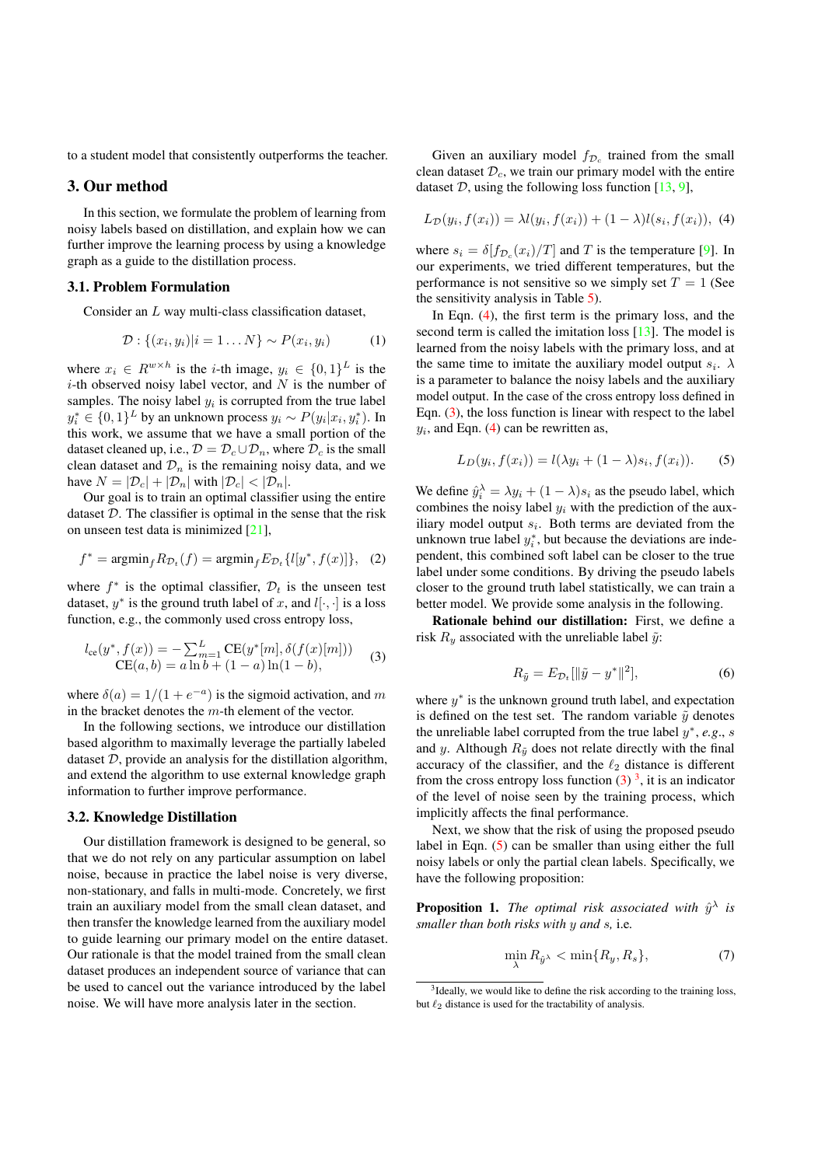to a student model that consistently outperforms the teacher.

### 3. Our method

In this section, we formulate the problem of learning from noisy labels based on distillation, and explain how we can further improve the learning process by using a knowledge graph as a guide to the distillation process.

#### 3.1. Problem Formulation

Consider an L way multi-class classification dataset,

$$
\mathcal{D}: \{(x_i, y_i)|i = 1 \dots N\} \sim P(x_i, y_i) \tag{1}
$$

where  $x_i \in R^{w \times h}$  is the *i*-th image,  $y_i \in \{0, 1\}^L$  is the  $i$ -th observed noisy label vector, and  $N$  is the number of samples. The noisy label  $y_i$  is corrupted from the true label  $y_i^* \in \{0,1\}^L$  by an unknown process  $y_i \sim P(y_i | x_i, y_i^*)$ . In this work, we assume that we have a small portion of the dataset cleaned up, i.e.,  $\mathcal{D} = \mathcal{D}_c \cup \mathcal{D}_n$ , where  $\mathcal{D}_c$  is the small clean dataset and  $\mathcal{D}_n$  is the remaining noisy data, and we have  $N = |\mathcal{D}_c| + |\mathcal{D}_n|$  with  $|\mathcal{D}_c| < |\mathcal{D}_n|$ .

Our goal is to train an optimal classifier using the entire dataset  $D$ . The classifier is optimal in the sense that the risk on unseen test data is minimized [21],

$$
f^* = \operatorname{argmin}_f R_{\mathcal{D}_t}(f) = \operatorname{argmin}_f E_{\mathcal{D}_t}\{l[y^*, f(x)]\}, \tag{2}
$$

where  $f^*$  is the optimal classifier,  $\mathcal{D}_t$  is the unseen test dataset,  $y^*$  is the ground truth label of x, and  $l[\cdot, \cdot]$  is a loss function, e.g., the commonly used cross entropy loss,

$$
l_{ce}(y^*, f(x)) = -\sum_{m=1}^{L} CE(y^*[m], \delta(f(x)[m]))
$$
  
CE(a, b) = a ln b + (1 - a) ln(1 - b), (3)

where  $\delta(a) = 1/(1 + e^{-a})$  is the sigmoid activation, and m in the bracket denotes the  $m$ -th element of the vector.

In the following sections, we introduce our distillation based algorithm to maximally leverage the partially labeled dataset  $D$ , provide an analysis for the distillation algorithm, and extend the algorithm to use external knowledge graph information to further improve performance.

#### 3.2. Knowledge Distillation

Our distillation framework is designed to be general, so that we do not rely on any particular assumption on label noise, because in practice the label noise is very diverse, non-stationary, and falls in multi-mode. Concretely, we first train an auxiliary model from the small clean dataset, and then transfer the knowledge learned from the auxiliary model to guide learning our primary model on the entire dataset. Our rationale is that the model trained from the small clean dataset produces an independent source of variance that can be used to cancel out the variance introduced by the label noise. We will have more analysis later in the section.

Given an auxiliary model  $f_{\mathcal{D}_c}$  trained from the small clean dataset  $\mathcal{D}_c$ , we train our primary model with the entire dataset  $D$ , using the following loss function [13, 9],

$$
L_{\mathcal{D}}(y_i, f(x_i)) = \lambda l(y_i, f(x_i)) + (1 - \lambda) l(s_i, f(x_i)), \tag{4}
$$

where  $s_i = \delta[f_{\mathcal{D}_c}(x_i)/T]$  and T is the temperature [9]. In our experiments, we tried different temperatures, but the performance is not sensitive so we simply set  $T = 1$  (See the sensitivity analysis in Table 5).

In Eqn. (4), the first term is the primary loss, and the second term is called the imitation loss [13]. The model is learned from the noisy labels with the primary loss, and at the same time to imitate the auxiliary model output  $s_i$ .  $\lambda$ is a parameter to balance the noisy labels and the auxiliary model output. In the case of the cross entropy loss defined in Eqn. (3), the loss function is linear with respect to the label  $y_i$ , and Eqn. (4) can be rewritten as,

$$
L_D(y_i, f(x_i)) = l(\lambda y_i + (1 - \lambda)s_i, f(x_i)).
$$
 (5)

We define  $\hat{y}_i^{\lambda} = \lambda y_i + (1 - \lambda)s_i$  as the pseudo label, which combines the noisy label  $y_i$  with the prediction of the auxiliary model output  $s_i$ . Both terms are deviated from the unknown true label  $y_i^*$ , but because the deviations are independent, this combined soft label can be closer to the true label under some conditions. By driving the pseudo labels closer to the ground truth label statistically, we can train a better model. We provide some analysis in the following.

Rationale behind our distillation: First, we define a risk  $R_y$  associated with the unreliable label  $\tilde{y}$ :

$$
R_{\tilde{y}} = E_{\mathcal{D}_t} [\|\tilde{y} - y^*\|^2],\tag{6}
$$

where  $y^*$  is the unknown ground truth label, and expectation is defined on the test set. The random variable  $\tilde{y}$  denotes the unreliable label corrupted from the true label  $y^*$ ,  $e.g., s$ and y. Although  $R_{\tilde{y}}$  does not relate directly with the final accuracy of the classifier, and the  $\ell_2$  distance is different from the cross entropy loss function  $(3)$ <sup>3</sup>, it is an indicator of the level of noise seen by the training process, which implicitly affects the final performance.

Next, we show that the risk of using the proposed pseudo label in Eqn. (5) can be smaller than using either the full noisy labels or only the partial clean labels. Specifically, we have the following proposition:

**Proposition 1.** The optimal risk associated with  $\hat{y}^{\lambda}$  is *smaller than both risks with* y *and* s*,* i.e*.*

$$
\min_{\lambda} R_{\hat{y}^{\lambda}} < \min\{R_y, R_s\},\tag{7}
$$

<sup>&</sup>lt;sup>3</sup>Ideally, we would like to define the risk according to the training loss, but  $\ell_2$  distance is used for the tractability of analysis.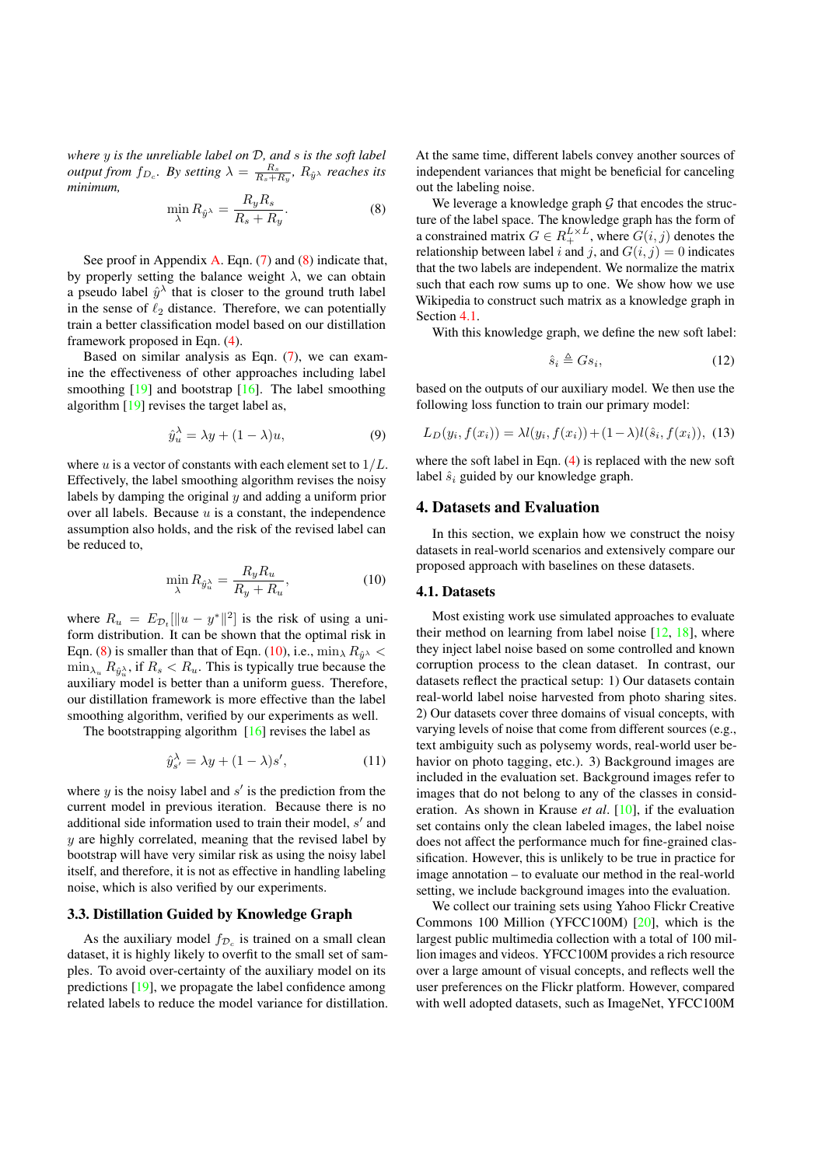*where* y *is the unreliable label on* D*, and* s *is the soft label output from*  $f_{D_c}$ *. By setting*  $\lambda = \frac{R_s}{R_s + R_y}$ ,  $R_{\hat{y}}$  *reaches its minimum,*

$$
\min_{\lambda} R_{\hat{y}^{\lambda}} = \frac{R_y R_s}{R_s + R_y}.\tag{8}
$$

See proof in Appendix A. Eqn. (7) and (8) indicate that, by properly setting the balance weight  $\lambda$ , we can obtain a pseudo label  $\hat{y}^{\lambda}$  that is closer to the ground truth label in the sense of  $\ell_2$  distance. Therefore, we can potentially train a better classification model based on our distillation framework proposed in Eqn. (4).

Based on similar analysis as Eqn.  $(7)$ , we can examine the effectiveness of other approaches including label smoothing  $[19]$  and bootstrap  $[16]$ . The label smoothing algorithm [19] revises the target label as,

$$
\hat{y}_u^{\lambda} = \lambda y + (1 - \lambda)u,\tag{9}
$$

where u is a vector of constants with each element set to  $1/L$ . Effectively, the label smoothing algorithm revises the noisy labels by damping the original  $y$  and adding a uniform prior over all labels. Because  $u$  is a constant, the independence assumption also holds, and the risk of the revised label can be reduced to,

$$
\min_{\lambda} R_{\hat{y}_u^{\lambda}} = \frac{R_y R_u}{R_y + R_u},\tag{10}
$$

where  $R_u = E_{\mathcal{D}_t}[\|u - y^*\|^2]$  is the risk of using a uniform distribution. It can be shown that the optimal risk in Eqn. (8) is smaller than that of Eqn. (10), i.e.,  $\min_{\lambda} R_{\hat{y}^{\lambda}}$  <  $\min_{\lambda_u} R_{\hat{y}_u^{\lambda}}$ , if  $R_s < R_u$ . This is typically true because the auxiliary model is better than a uniform guess. Therefore, our distillation framework is more effective than the label smoothing algorithm, verified by our experiments as well.

The bootstrapping algorithm  $[16]$  revises the label as

$$
\hat{y}_{s'}^{\lambda} = \lambda y + (1 - \lambda)s',\tag{11}
$$

where  $y$  is the noisy label and  $s'$  is the prediction from the current model in previous iteration. Because there is no additional side information used to train their model, s' and  $y$  are highly correlated, meaning that the revised label by bootstrap will have very similar risk as using the noisy label itself, and therefore, it is not as effective in handling labeling noise, which is also verified by our experiments.

### 3.3. Distillation Guided by Knowledge Graph

As the auxiliary model  $f_{\mathcal{D}_c}$  is trained on a small clean dataset, it is highly likely to overfit to the small set of samples. To avoid over-certainty of the auxiliary model on its predictions [19], we propagate the label confidence among related labels to reduce the model variance for distillation. At the same time, different labels convey another sources of independent variances that might be beneficial for canceling out the labeling noise.

We leverage a knowledge graph  $G$  that encodes the structure of the label space. The knowledge graph has the form of a constrained matrix  $G \in R_+^{L \times L}$ , where  $G(i, j)$  denotes the relationship between label i and j, and  $G(i, j) = 0$  indicates that the two labels are independent. We normalize the matrix such that each row sums up to one. We show how we use Wikipedia to construct such matrix as a knowledge graph in Section 4.1.

With this knowledge graph, we define the new soft label:

$$
\hat{s}_i \triangleq G s_i,\tag{12}
$$

based on the outputs of our auxiliary model. We then use the following loss function to train our primary model:

$$
L_D(y_i, f(x_i)) = \lambda l(y_i, f(x_i)) + (1 - \lambda) l(\hat{s}_i, f(x_i)), \quad (13)
$$

where the soft label in Eqn. (4) is replaced with the new soft label  $\hat{s}_i$  guided by our knowledge graph.

## 4. Datasets and Evaluation

In this section, we explain how we construct the noisy datasets in real-world scenarios and extensively compare our proposed approach with baselines on these datasets.

#### 4.1. Datasets

Most existing work use simulated approaches to evaluate their method on learning from label noise [12, 18], where they inject label noise based on some controlled and known corruption process to the clean dataset. In contrast, our datasets reflect the practical setup: 1) Our datasets contain real-world label noise harvested from photo sharing sites. 2) Our datasets cover three domains of visual concepts, with varying levels of noise that come from different sources (e.g., text ambiguity such as polysemy words, real-world user behavior on photo tagging, etc.). 3) Background images are included in the evaluation set. Background images refer to images that do not belong to any of the classes in consideration. As shown in Krause *et al*. [10], if the evaluation set contains only the clean labeled images, the label noise does not affect the performance much for fine-grained classification. However, this is unlikely to be true in practice for image annotation – to evaluate our method in the real-world setting, we include background images into the evaluation.

We collect our training sets using Yahoo Flickr Creative Commons 100 Million (YFCC100M) [20], which is the largest public multimedia collection with a total of 100 million images and videos. YFCC100M provides a rich resource over a large amount of visual concepts, and reflects well the user preferences on the Flickr platform. However, compared with well adopted datasets, such as ImageNet, YFCC100M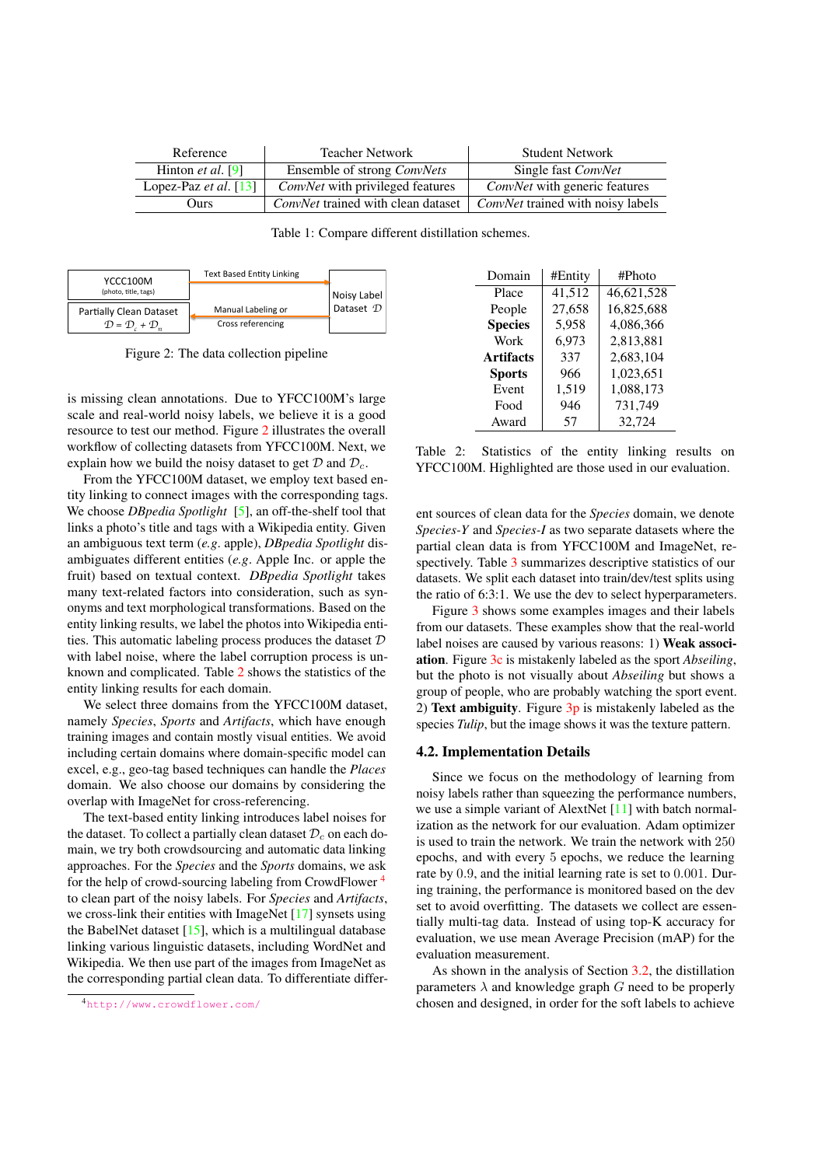| Reference                    | <b>Teacher Network</b>                    | <b>Student Network</b>               |
|------------------------------|-------------------------------------------|--------------------------------------|
| Hinton <i>et al.</i> $[9]$   | Ensemble of strong <i>ConvNets</i>        | Single fast ConvNet                  |
| Lopez-Paz <i>et al.</i> [13] | <i>ConvNet</i> with privileged features   | <i>ConvNet</i> with generic features |
| Ours                         | <i>ConvNet</i> trained with clean dataset | ConvNet trained with noisy labels    |

Table 1: Compare different distillation schemes.



Figure 2: The data collection pipeline

is missing clean annotations. Due to YFCC100M's large scale and real-world noisy labels, we believe it is a good resource to test our method. Figure 2 illustrates the overall workflow of collecting datasets from YFCC100M. Next, we explain how we build the noisy dataset to get  $\mathcal D$  and  $\mathcal D_c$ .

From the YFCC100M dataset, we employ text based entity linking to connect images with the corresponding tags. We choose *DBpedia Spotlight* [5], an off-the-shelf tool that links a photo's title and tags with a Wikipedia entity. Given an ambiguous text term (*e.g*. apple), *DBpedia Spotlight* disambiguates different entities (*e.g*. Apple Inc. or apple the fruit) based on textual context. *DBpedia Spotlight* takes many text-related factors into consideration, such as synonyms and text morphological transformations. Based on the entity linking results, we label the photos into Wikipedia entities. This automatic labeling process produces the dataset  $D$ with label noise, where the label corruption process is unknown and complicated. Table 2 shows the statistics of the entity linking results for each domain.

We select three domains from the YFCC100M dataset, namely *Species*, *Sports* and *Artifacts*, which have enough training images and contain mostly visual entities. We avoid including certain domains where domain-specific model can excel, e.g., geo-tag based techniques can handle the *Places* domain. We also choose our domains by considering the overlap with ImageNet for cross-referencing.

The text-based entity linking introduces label noises for the dataset. To collect a partially clean dataset  $\mathcal{D}_c$  on each domain, we try both crowdsourcing and automatic data linking approaches. For the *Species* and the *Sports* domains, we ask for the help of crowd-sourcing labeling from CrowdFlower <sup>4</sup> to clean part of the noisy labels. For *Species* and *Artifacts*, we cross-link their entities with ImageNet [17] synsets using the BabelNet dataset [15], which is a multilingual database linking various linguistic datasets, including WordNet and Wikipedia. We then use part of the images from ImageNet as the corresponding partial clean data. To differentiate differ-

| Domain         | #Entity | #Photo     |  |  |
|----------------|---------|------------|--|--|
| Place          | 41,512  | 46,621,528 |  |  |
| People         | 27,658  | 16,825,688 |  |  |
| <b>Species</b> | 5,958   | 4,086,366  |  |  |
| Work           | 6,973   | 2,813,881  |  |  |
| Artifacts      | 337     | 2,683,104  |  |  |
| <b>Sports</b>  | 966     | 1,023,651  |  |  |
| Event          | 1,519   | 1,088,173  |  |  |
| Food           | 946     | 731,749    |  |  |
| Award          | 57      | 32,724     |  |  |

Table 2: Statistics of the entity linking results on YFCC100M. Highlighted are those used in our evaluation.

ent sources of clean data for the *Species* domain, we denote *Species-Y* and *Species-I* as two separate datasets where the partial clean data is from YFCC100M and ImageNet, respectively. Table 3 summarizes descriptive statistics of our datasets. We split each dataset into train/dev/test splits using the ratio of 6:3:1. We use the dev to select hyperparameters.

Figure 3 shows some examples images and their labels from our datasets. These examples show that the real-world label noises are caused by various reasons: 1) Weak association. Figure 3c is mistakenly labeled as the sport *Abseiling*, but the photo is not visually about *Abseiling* but shows a group of people, who are probably watching the sport event. 2) Text ambiguity. Figure  $3p$  is mistakenly labeled as the species *Tulip*, but the image shows it was the texture pattern.

#### 4.2. Implementation Details

Since we focus on the methodology of learning from noisy labels rather than squeezing the performance numbers, we use a simple variant of AlextNet [11] with batch normalization as the network for our evaluation. Adam optimizer is used to train the network. We train the network with 250 epochs, and with every 5 epochs, we reduce the learning rate by 0.9, and the initial learning rate is set to 0.001. During training, the performance is monitored based on the dev set to avoid overfitting. The datasets we collect are essentially multi-tag data. Instead of using top-K accuracy for evaluation, we use mean Average Precision (mAP) for the evaluation measurement.

As shown in the analysis of Section 3.2, the distillation parameters  $\lambda$  and knowledge graph G need to be properly chosen and designed, in order for the soft labels to achieve

<sup>4</sup>http://www.crowdflower.com/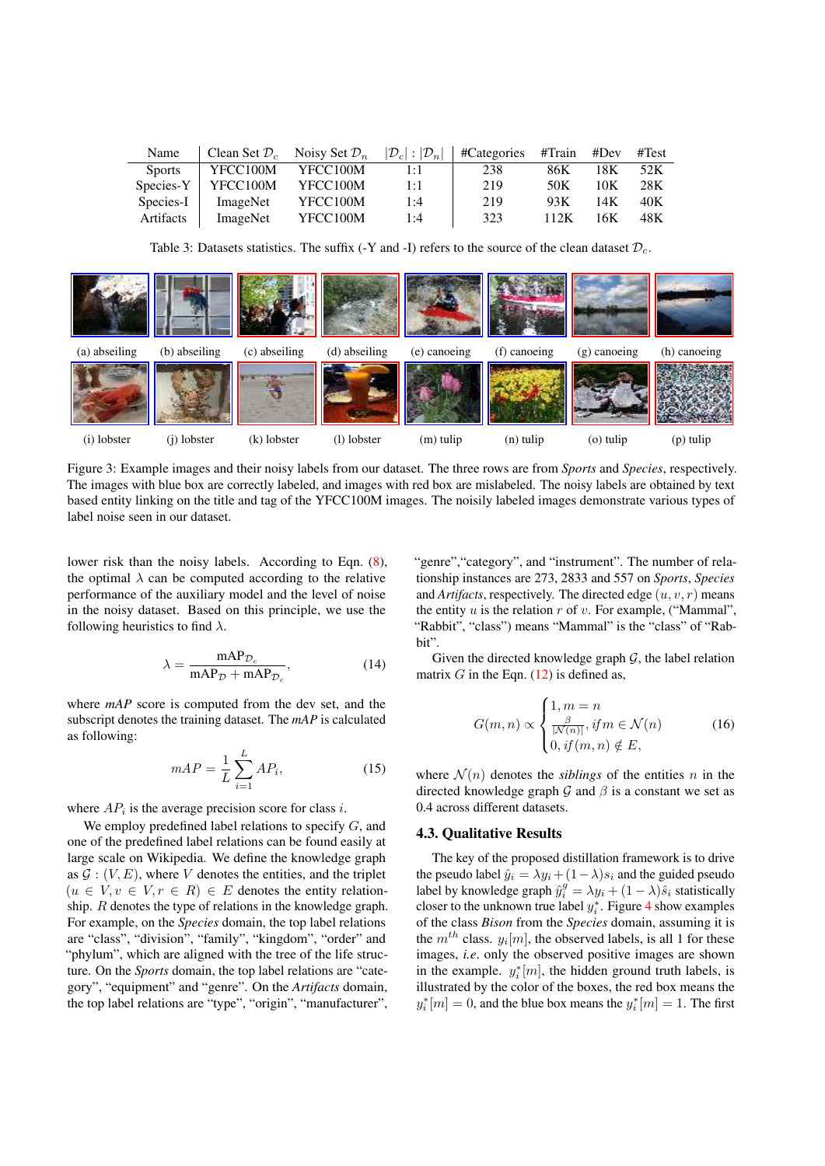| Name          | Clean Set $\mathcal{D}_c$ | Noisy Set $\mathcal{D}_n$ | $ \mathcal{D}_c :  \mathcal{D}_n $ | #Categories | #Train | #Dev | #Test |
|---------------|---------------------------|---------------------------|------------------------------------|-------------|--------|------|-------|
| <b>Sports</b> | YFCC100M                  | YFCC100M                  | 1:1                                | 238         | 86K    | 18K  | 52K   |
| Species-Y     | YFCC100M                  | YFCC100M                  | 1:1                                | 219         | 50K    | 10K  | 28K   |
| Species-I     | ImageNet                  | YFCC100M                  | 1:4                                | 219         | 93K    | 14K  | 40K   |
| Artifacts     | ImageNet                  | YFCC100M                  | 1:4                                | 323         | 112K   | 16K  | 48K   |

Table 3: Datasets statistics. The suffix (-Y and -I) refers to the source of the clean dataset  $\mathcal{D}_c$ .



Figure 3: Example images and their noisy labels from our dataset. The three rows are from *Sports* and *Species*, respectively. The images with blue box are correctly labeled, and images with red box are mislabeled. The noisy labels are obtained by text based entity linking on the title and tag of the YFCC100M images. The noisily labeled images demonstrate various types of label noise seen in our dataset.

lower risk than the noisy labels. According to Eqn. (8), the optimal  $\lambda$  can be computed according to the relative performance of the auxiliary model and the level of noise in the noisy dataset. Based on this principle, we use the following heuristics to find  $\lambda$ .

$$
\lambda = \frac{\text{mAP}_{\mathcal{D}_c}}{\text{mAP}_{\mathcal{D}} + \text{mAP}_{\mathcal{D}_c}},\tag{14}
$$

where *mAP* score is computed from the dev set, and the subscript denotes the training dataset. The *mAP* is calculated as following:

$$
mAP = \frac{1}{L} \sum_{i=1}^{L} AP_i,
$$
\n(15)

where  $AP_i$  is the average precision score for class i.

We employ predefined label relations to specify  $G$ , and one of the predefined label relations can be found easily at large scale on Wikipedia. We define the knowledge graph as  $G: (V, E)$ , where V denotes the entities, and the triplet  $(u \in V, v \in V, r \in R) \in E$  denotes the entity relationship. R denotes the type of relations in the knowledge graph. For example, on the *Species* domain, the top label relations are "class", "division", "family", "kingdom", "order" and "phylum", which are aligned with the tree of the life structure. On the *Sports* domain, the top label relations are "category", "equipment" and "genre". On the *Artifacts* domain, the top label relations are "type", "origin", "manufacturer", "genre", "category", and "instrument". The number of relationship instances are 273, 2833 and 557 on *Sports*, *Species* and *Artifacts*, respectively. The directed edge  $(u, v, r)$  means the entity  $u$  is the relation  $r$  of  $v$ . For example, ("Mammal", "Rabbit", "class") means "Mammal" is the "class" of "Rabbit".

Given the directed knowledge graph  $G$ , the label relation matrix  $G$  in the Eqn. (12) is defined as,

$$
G(m,n) \propto \begin{cases} 1, m = n \\ \frac{\beta}{|N(n)|}, if m \in \mathcal{N}(n) \\ 0, if (m,n) \notin E, \end{cases}
$$
 (16)

where  $\mathcal{N}(n)$  denotes the *siblings* of the entities n in the directed knowledge graph  $\mathcal G$  and  $\beta$  is a constant we set as 0.4 across different datasets.

### 4.3. Qualitative Results

The key of the proposed distillation framework is to drive the pseudo label  $\hat{y}_i = \lambda y_i + (1 - \lambda)s_i$  and the guided pseudo label by knowledge graph  $\hat{y}_i^g = \lambda y_i + (1 - \lambda)\hat{s}_i$  statistically closer to the unknown true label  $y_i^*$ . Figure 4 show examples of the class *Bison* from the *Species* domain, assuming it is the  $m^{th}$  class.  $y_i[m]$ , the observed labels, is all 1 for these images, *i.e*. only the observed positive images are shown in the example.  $y_i^*[m]$ , the hidden ground truth labels, is illustrated by the color of the boxes, the red box means the  $y_i^*[m] = 0$ , and the blue box means the  $y_i^*[m] = 1$ . The first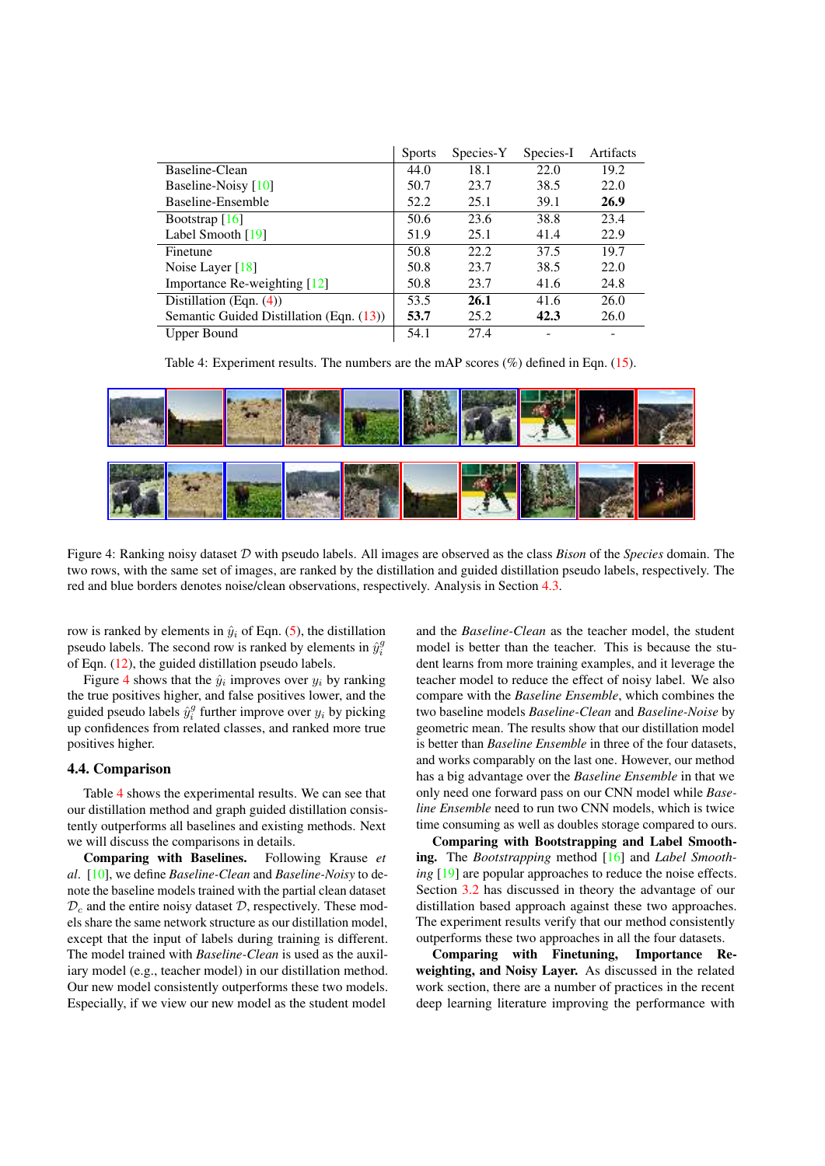|                                          | <b>Sports</b> | Species-Y | Species-I | Artifacts |
|------------------------------------------|---------------|-----------|-----------|-----------|
| Baseline-Clean                           | 44.0          | 18.1      | 22.0      | 19.2      |
| Baseline-Noisy [10]                      | 50.7          | 23.7      | 38.5      | 22.0      |
| Baseline-Ensemble                        | 52.2          | 25.1      | 39.1      | 26.9      |
| Bootstrap $[16]$                         | 50.6          | 23.6      | 38.8      | 23.4      |
| Label Smooth [19]                        | 51.9          | 25.1      | 41.4      | 22.9      |
| Finetune                                 | 50.8          | 22.2      | 37.5      | 19.7      |
| Noise Layer $[18]$                       | 50.8          | 23.7      | 38.5      | 22.0      |
| Importance Re-weighting [12]             | 50.8          | 23.7      | 41.6      | 24.8      |
| Distillation (Eqn. $(4)$ )               | 53.5          | 26.1      | 41.6      | 26.0      |
| Semantic Guided Distillation (Eqn. (13)) | 53.7          | 25.2      | 42.3      | 26.0      |
| Upper Bound                              | 54.1          | 27.4      |           |           |

Table 4: Experiment results. The numbers are the mAP scores  $(\%)$  defined in Eqn. (15).



Figure 4: Ranking noisy dataset D with pseudo labels. All images are observed as the class *Bison* of the *Species* domain. The two rows, with the same set of images, are ranked by the distillation and guided distillation pseudo labels, respectively. The red and blue borders denotes noise/clean observations, respectively. Analysis in Section 4.3.

row is ranked by elements in  $\hat{y}_i$  of Eqn. (5), the distillation pseudo labels. The second row is ranked by elements in  $\hat{y}_i^g$ of Eqn. (12), the guided distillation pseudo labels.

Figure 4 shows that the  $\hat{y}_i$  improves over  $y_i$  by ranking the true positives higher, and false positives lower, and the guided pseudo labels  $\hat{y}_i^g$  further improve over  $y_i$  by picking up confidences from related classes, and ranked more true positives higher.

### 4.4. Comparison

Table 4 shows the experimental results. We can see that our distillation method and graph guided distillation consistently outperforms all baselines and existing methods. Next we will discuss the comparisons in details.

Comparing with Baselines. Following Krause *et al*. [10], we define *Baseline-Clean* and *Baseline-Noisy* to denote the baseline models trained with the partial clean dataset  $\mathcal{D}_c$  and the entire noisy dataset  $\mathcal{D}$ , respectively. These models share the same network structure as our distillation model, except that the input of labels during training is different. The model trained with *Baseline-Clean* is used as the auxiliary model (e.g., teacher model) in our distillation method. Our new model consistently outperforms these two models. Especially, if we view our new model as the student model

and the *Baseline-Clean* as the teacher model, the student model is better than the teacher. This is because the student learns from more training examples, and it leverage the teacher model to reduce the effect of noisy label. We also compare with the *Baseline Ensemble*, which combines the two baseline models *Baseline-Clean* and *Baseline-Noise* by geometric mean. The results show that our distillation model is better than *Baseline Ensemble* in three of the four datasets, and works comparably on the last one. However, our method has a big advantage over the *Baseline Ensemble* in that we only need one forward pass on our CNN model while *Baseline Ensemble* need to run two CNN models, which is twice time consuming as well as doubles storage compared to ours.

Comparing with Bootstrapping and Label Smoothing. The *Bootstrapping* method [16] and *Label Smoothing* [19] are popular approaches to reduce the noise effects. Section 3.2 has discussed in theory the advantage of our distillation based approach against these two approaches. The experiment results verify that our method consistently outperforms these two approaches in all the four datasets.

Comparing with Finetuning, Importance Reweighting, and Noisy Layer. As discussed in the related work section, there are a number of practices in the recent deep learning literature improving the performance with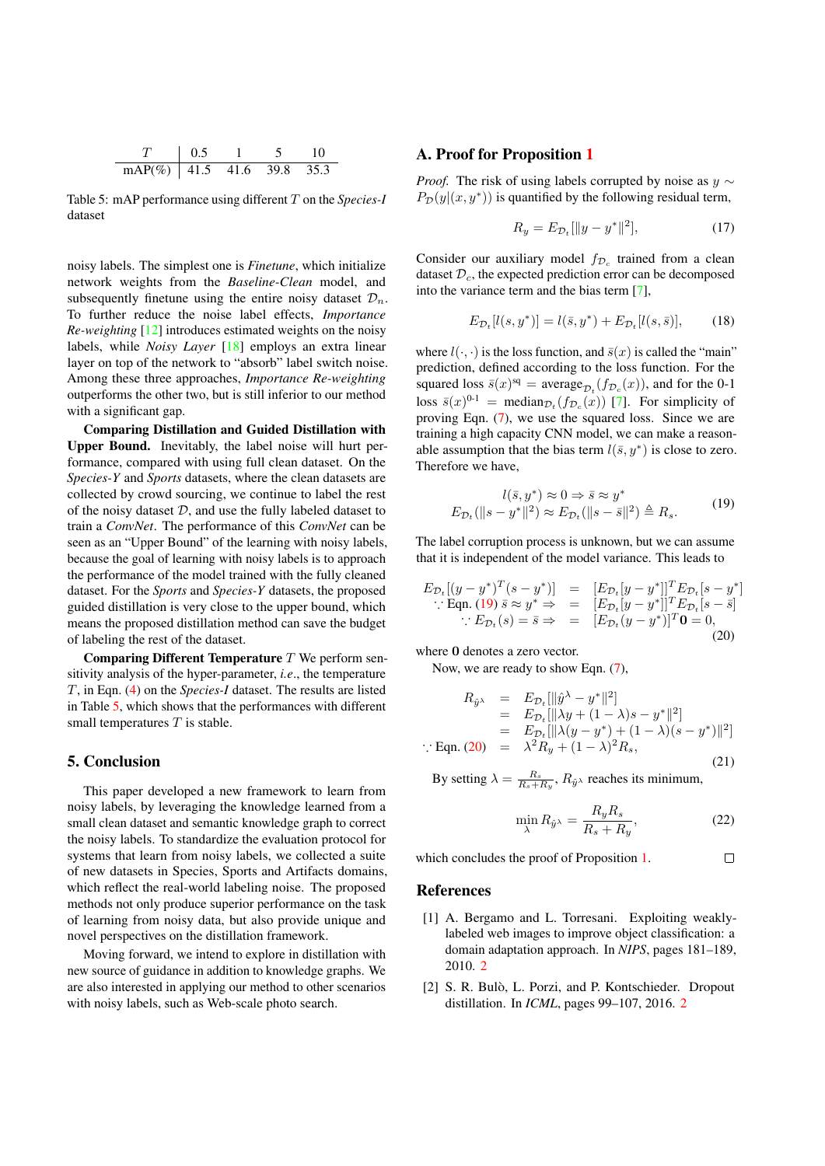| mAP(%)   41.5 41.6 39.8 35.3 |  |  |  |
|------------------------------|--|--|--|

Table 5: mAP performance using different T on the *Species-I* dataset

noisy labels. The simplest one is *Finetune*, which initialize network weights from the *Baseline-Clean* model, and subsequently finetune using the entire noisy dataset  $\mathcal{D}_n$ . To further reduce the noise label effects, *Importance Re-weighting* [12] introduces estimated weights on the noisy labels, while *Noisy Layer* [18] employs an extra linear layer on top of the network to "absorb" label switch noise. Among these three approaches, *Importance Re-weighting* outperforms the other two, but is still inferior to our method with a significant gap.

Comparing Distillation and Guided Distillation with Upper Bound. Inevitably, the label noise will hurt performance, compared with using full clean dataset. On the *Species-Y* and *Sports* datasets, where the clean datasets are collected by crowd sourcing, we continue to label the rest of the noisy dataset  $D$ , and use the fully labeled dataset to train a *ConvNet*. The performance of this *ConvNet* can be seen as an "Upper Bound" of the learning with noisy labels, because the goal of learning with noisy labels is to approach the performance of the model trained with the fully cleaned dataset. For the *Sports* and *Species-Y* datasets, the proposed guided distillation is very close to the upper bound, which means the proposed distillation method can save the budget of labeling the rest of the dataset.

Comparing Different Temperature  $T$  We perform sensitivity analysis of the hyper-parameter, *i.e*., the temperature T, in Eqn. (4) on the *Species-I* dataset. The results are listed in Table 5, which shows that the performances with different small temperatures  $T$  is stable.

# 5. Conclusion

This paper developed a new framework to learn from noisy labels, by leveraging the knowledge learned from a small clean dataset and semantic knowledge graph to correct the noisy labels. To standardize the evaluation protocol for systems that learn from noisy labels, we collected a suite of new datasets in Species, Sports and Artifacts domains, which reflect the real-world labeling noise. The proposed methods not only produce superior performance on the task of learning from noisy data, but also provide unique and novel perspectives on the distillation framework.

Moving forward, we intend to explore in distillation with new source of guidance in addition to knowledge graphs. We are also interested in applying our method to other scenarios with noisy labels, such as Web-scale photo search.

### A. Proof for Proposition 1

*Proof.* The risk of using labels corrupted by noise as  $y \sim$  $P_{\mathcal{D}}(y|(x, y^*))$  is quantified by the following residual term,

$$
R_y = E_{\mathcal{D}_t}[\|y - y^*\|^2],\tag{17}
$$

Consider our auxiliary model  $f_{\mathcal{D}_c}$  trained from a clean dataset  $\mathcal{D}_c$ , the expected prediction error can be decomposed into the variance term and the bias term [7],

$$
E_{\mathcal{D}_t}[l(s, y^*)] = l(\bar{s}, y^*) + E_{\mathcal{D}_t}[l(s, \bar{s})],\tag{18}
$$

where  $l(\cdot, \cdot)$  is the loss function, and  $\bar{s}(x)$  is called the "main" prediction, defined according to the loss function. For the squared loss  $\bar{s}(x)^{sq} = \text{average}_{\mathcal{D}_t}(f_{\mathcal{D}_c}(x))$ , and for the 0-1 loss  $\bar{s}(x)^{0-1}$  = median $_{\mathcal{D}_t}(f_{\mathcal{D}_c}(x))$  [7]. For simplicity of proving Eqn. (7), we use the squared loss. Since we are training a high capacity CNN model, we can make a reasonable assumption that the bias term  $l(\bar{s}, y^*)$  is close to zero. Therefore we have,

$$
l(\bar{s}, y^*) \approx 0 \Rightarrow \bar{s} \approx y^*
$$
  
\n
$$
E_{\mathcal{D}_t}(\|s - y^*\|^2) \approx E_{\mathcal{D}_t}(\|s - \bar{s}\|^2) \triangleq R_s.
$$
 (19)

The label corruption process is unknown, but we can assume that it is independent of the model variance. This leads to

$$
E_{\mathcal{D}_t}[(y-y^*)^T(s-y^*)] = [E_{\mathcal{D}_t}[y-y^*]]^T E_{\mathcal{D}_t}[s-y^*]
$$
  
 
$$
\therefore \text{ Eqn. (19) } \bar{s} \approx y^* \Rightarrow [E_{\mathcal{D}_t}[y-y^*]]^T E_{\mathcal{D}_t}[s-\bar{s}]
$$
  

$$
\therefore E_{\mathcal{D}_t}(s) = \bar{s} \Rightarrow [E_{\mathcal{D}_t}(y-y^*)]^T \mathbf{0} = 0,
$$
  
(20)

where 0 denotes a zero vector.

Now, we are ready to show Eqn. (7),

$$
R_{\hat{y}} = E_{\mathcal{D}_t}[\|\hat{y}^{\lambda} - y^*\|^2] \n= E_{\mathcal{D}_t}[\|\lambda y + (1 - \lambda)s - y^*\|^2] \n= E_{\mathcal{D}_t}[\|\lambda (y - y^*) + (1 - \lambda)(s - y^*)\|^2] \n\therefore \text{ Eqn. (20)} = \lambda^2 R_y + (1 - \lambda)^2 R_s,
$$
\n(21)

By setting  $\lambda = \frac{R_s}{R_s + R_y}$ ,  $R_{\hat{y}}$  reaches its minimum,

$$
\min_{\lambda} R_{\hat{y}^{\lambda}} = \frac{R_y R_s}{R_s + R_y},\tag{22}
$$

 $\Box$ 

which concludes the proof of Proposition 1.

### **References**

- [1] A. Bergamo and L. Torresani. Exploiting weaklylabeled web images to improve object classification: a domain adaptation approach. In *NIPS*, pages 181–189, 2010. 2
- [2] S. R. Bulò, L. Porzi, and P. Kontschieder. Dropout distillation. In *ICML*, pages 99–107, 2016. 2